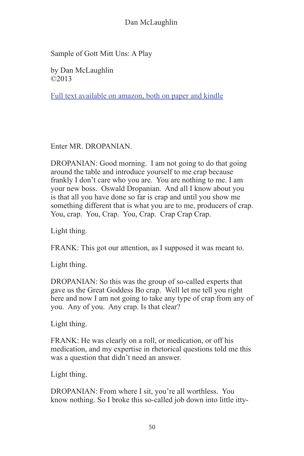Sample of Gott Mitt Uns: A Play

by Dan McLaughlin ©2013

[Full text available on amazon, both on paper and kindle](http://www.amazon.com/Gott-Mit-Uns-Dan-McLaughlin/dp/1475102429/ref%3Dla_B004GAT0XS_1_1%3Fie%3DUTF8%26qid%3D1365669935%26sr%3D1-1)

Enter MR. DROPANIAN.

DROPANIAN: Good morning. I am not going to do that going around the table and introduce yourself to me crap because frankly I don't care who you are. You are nothing to me. I am your new boss. Oswald Dropanian. And all I know about you is that all you have done so far is crap and until you show me something different that is what you are to me, producers of crap. You, crap. You, Crap. You, Crap. Crap Crap Crap.

Light thing.

FRANK: This got our attention, as I supposed it was meant to.

Light thing.

DROPANIAN: So this was the group of so-called experts that gave us the Great Goddess Bo crap. Well let me tell you right here and now I am not going to take any type of crap from any of you. Any of you. Any crap. Is that clear?

Light thing.

FRANK: He was clearly on a roll, or medication, or off his medication, and my expertise in rhetorical questions told me this was a question that didn't need an answer.

Light thing.

DROPANIAN: From where I sit, you're all worthless. You know nothing. So I broke this so-called job down into little itty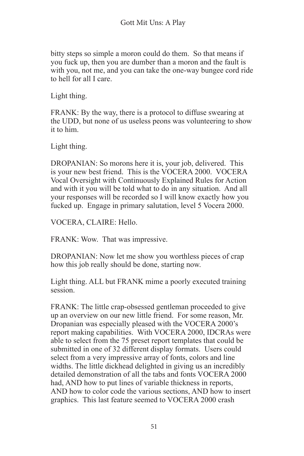bitty steps so simple a moron could do them. So that means if you fuck up, then you are dumber than a moron and the fault is with you, not me, and you can take the one-way bungee cord ride to hell for all I care.

Light thing.

FRANK: By the way, there is a protocol to diffuse swearing at the UDD, but none of us useless peons was volunteering to show it to him.

Light thing.

DROPANIAN: So morons here it is, your job, delivered. This is your new best friend. This is the VOCERA 2000. VOCERA Vocal Oversight with Continuously Explained Rules for Action and with it you will be told what to do in any situation. And all your responses will be recorded so I will know exactly how you fucked up. Engage in primary salutation, level 5 Vocera 2000.

VOCERA, CLAIRE: Hello.

FRANK: Wow. That was impressive.

DROPANIAN: Now let me show you worthless pieces of crap how this job really should be done, starting now.

Light thing. ALL but FRANK mime a poorly executed training session.

FRANK: The little crap-obsessed gentleman proceeded to give up an overview on our new little friend. For some reason, Mr. Dropanian was especially pleased with the VOCERA 2000's report making capabilities. With VOCERA 2000, IDCRAs were able to select from the 75 preset report templates that could be submitted in one of 32 different display formats. Users could select from a very impressive array of fonts, colors and line widths. The little dickhead delighted in giving us an incredibly detailed demonstration of all the tabs and fonts VOCERA 2000 had, AND how to put lines of variable thickness in reports. AND how to color code the various sections, AND how to insert graphics. This last feature seemed to VOCERA 2000 crash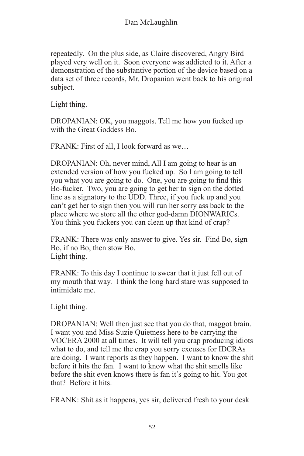repeatedly. On the plus side, as Claire discovered, Angry Bird played very well on it. Soon everyone was addicted to it. After a demonstration of the substantive portion of the device based on a data set of three records, Mr. Dropanian went back to his original subject.

Light thing.

DROPANIAN: OK, you maggots. Tell me how you fucked up with the Great Goddess Bo.

FRANK: First of all, I look forward as we…

DROPANIAN: Oh, never mind, All I am going to hear is an extended version of how you fucked up. So I am going to tell you what you are going to do. One, you are going to find this Bo-fucker. Two, you are going to get her to sign on the dotted line as a signatory to the UDD. Three, if you fuck up and you can't get her to sign then you will run her sorry ass back to the place where we store all the other god-damn DIONWARICs. You think you fuckers you can clean up that kind of crap?

FRANK: There was only answer to give. Yes sir. Find Bo, sign Bo, if no Bo, then stow Bo. Light thing.

FRANK: To this day I continue to swear that it just fell out of my mouth that way. I think the long hard stare was supposed to intimidate me.

Light thing.

DROPANIAN: Well then just see that you do that, maggot brain. I want you and Miss Suzie Quietness here to be carrying the VOCERA 2000 at all times. It will tell you crap producing idiots what to do, and tell me the crap you sorry excuses for IDCRAs are doing. I want reports as they happen. I want to know the shit before it hits the fan. I want to know what the shit smells like before the shit even knows there is fan it's going to hit. You got that? Before it hits.

FRANK: Shit as it happens, yes sir, delivered fresh to your desk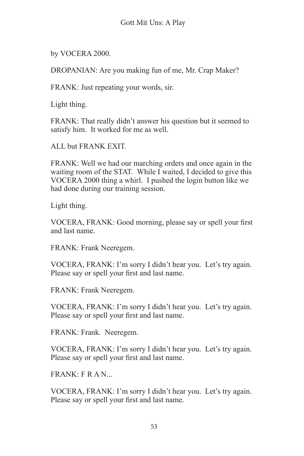by VOCERA 2000.

DROPANIAN: Are you making fun of me, Mr. Crap Maker?

FRANK: Just repeating your words, sir.

Light thing.

FRANK: That really didn't answer his question but it seemed to satisfy him. It worked for me as well.

ALL but FRANK EXIT.

FRANK: Well we had our marching orders and once again in the waiting room of the STAT. While I waited, I decided to give this VOCERA 2000 thing a whirl. I pushed the login button like we had done during our training session.

Light thing.

VOCERA, FRANK: Good morning, please say or spell your first and last name.

FRANK: Frank Neeregem.

VOCERA, FRANK: I'm sorry I didn't hear you. Let's try again. Please say or spell your first and last name.

FRANK: Frank Neeregem.

VOCERA, FRANK: I'm sorry I didn't hear you. Let's try again. Please say or spell your first and last name.

FRANK: Frank. Neeregem.

VOCERA, FRANK: I'm sorry I didn't hear you. Let's try again. Please say or spell your first and last name.

 $FR \triangle N$   $FR \triangle N$ 

VOCERA, FRANK: I'm sorry I didn't hear you. Let's try again. Please say or spell your first and last name.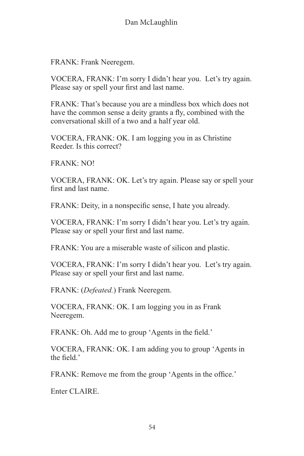FRANK: Frank Neeregem.

VOCERA, FRANK: I'm sorry I didn't hear you. Let's try again. Please say or spell your first and last name.

FRANK: That's because you are a mindless box which does not have the common sense a deity grants a fly, combined with the conversational skill of a two and a half year old.

VOCERA, FRANK: OK. I am logging you in as Christine Reeder. Is this correct?

FRANK: NO!

VOCERA, FRANK: OK. Let's try again. Please say or spell your first and last name.

FRANK: Deity, in a nonspecific sense, I hate you already.

VOCERA, FRANK: I'm sorry I didn't hear you. Let's try again. Please say or spell your first and last name.

FRANK: You are a miserable waste of silicon and plastic.

VOCERA, FRANK: I'm sorry I didn't hear you. Let's try again. Please say or spell your first and last name.

FRANK: (*Defeated.*) Frank Neeregem.

VOCERA, FRANK: OK. I am logging you in as Frank Neeregem.

FRANK: Oh. Add me to group 'Agents in the field.'

VOCERA, FRANK: OK. I am adding you to group 'Agents in the field.

FRANK: Remove me from the group 'Agents in the office.'

Enter CLAIRE.